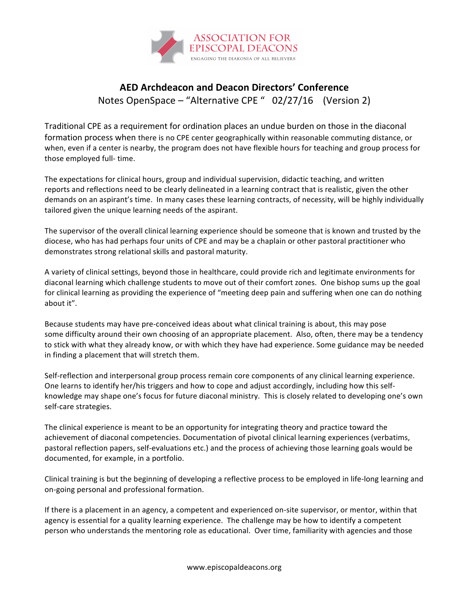

## **AED Archdeacon and Deacon Directors' Conference** Notes OpenSpace – "Alternative CPE "  $02/27/16$  (Version 2)

Traditional CPE as a requirement for ordination places an undue burden on those in the diaconal formation process when there is no CPE center geographically within reasonable commuting distance, or when, even if a center is nearby, the program does not have flexible hours for teaching and group process for those employed full- time.

The expectations for clinical hours, group and individual supervision, didactic teaching, and written reports and reflections need to be clearly delineated in a learning contract that is realistic, given the other demands on an aspirant's time. In many cases these learning contracts, of necessity, will be highly individually tailored given the unique learning needs of the aspirant.

The supervisor of the overall clinical learning experience should be someone that is known and trusted by the diocese, who has had perhaps four units of CPE and may be a chaplain or other pastoral practitioner who demonstrates strong relational skills and pastoral maturity.

A variety of clinical settings, beyond those in healthcare, could provide rich and legitimate environments for diaconal learning which challenge students to move out of their comfort zones. One bishop sums up the goal for clinical learning as providing the experience of "meeting deep pain and suffering when one can do nothing about it".

Because students may have pre-conceived ideas about what clinical training is about, this may pose some difficulty around their own choosing of an appropriate placement. Also, often, there may be a tendency to stick with what they already know, or with which they have had experience. Some guidance may be needed in finding a placement that will stretch them.

Self-reflection and interpersonal group process remain core components of any clinical learning experience. One learns to identify her/his triggers and how to cope and adjust accordingly, including how this selfknowledge may shape one's focus for future diaconal ministry. This is closely related to developing one's own self-care strategies.

The clinical experience is meant to be an opportunity for integrating theory and practice toward the achievement of diaconal competencies. Documentation of pivotal clinical learning experiences (verbatims, pastoral reflection papers, self-evaluations etc.) and the process of achieving those learning goals would be documented, for example, in a portfolio.

Clinical training is but the beginning of developing a reflective process to be employed in life-long learning and on-going personal and professional formation.

If there is a placement in an agency, a competent and experienced on-site supervisor, or mentor, within that agency is essential for a quality learning experience. The challenge may be how to identify a competent person who understands the mentoring role as educational. Over time, familiarity with agencies and those

www.episcopaldeacons.org